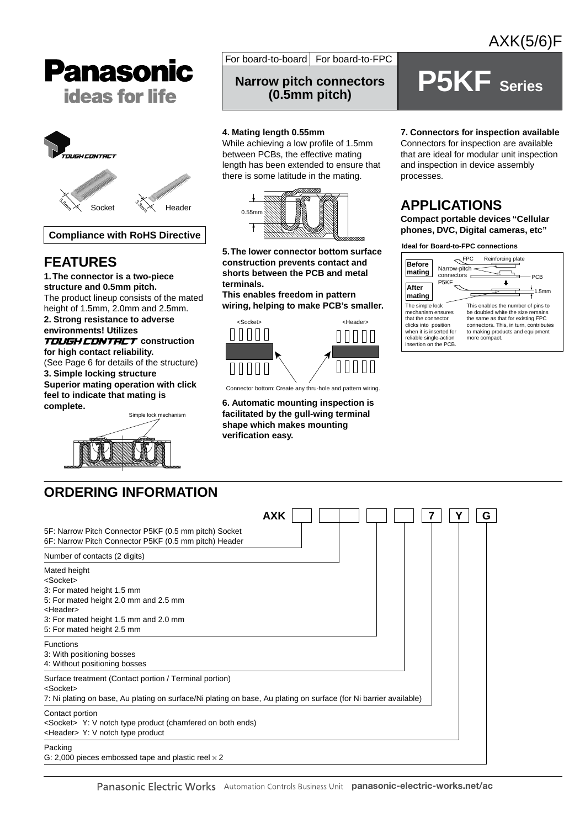



**Compliance with RoHS Directive**

# **FEATURES**

**1. The connector is a two-piece structure and 0.5mm pitch.** The product lineup consists of the mated

height of 1.5mm, 2.0mm and 2.5mm. **2. Strong resistance to adverse environments! Utilizes** 

## **TOUGH CONTRCT** construction **for high contact reliability.**

(See Page 6 for details of the structure) **3. Simple locking structure Superior mating operation with click feel to indicate that mating is** 

**complete.**



For board-to-board  $F$  For board-to-FPC

# **P5KF** Series **(0.5mm pitch)**

## **4. Mating length 0.55mm**

While achieving a low profile of 1.5mm between PCBs, the effective mating length has been extended to ensure that there is some latitude in the mating.



**5. The lower connector bottom surface construction prevents contact and shorts between the PCB and metal terminals.**

**This enables freedom in pattern wiring, helping to make PCB's smaller.**



Connector bottom: Create any thru-hole and pattern wiring.

**6. Automatic mounting inspection is facilitated by the gull-wing terminal shape which makes mounting verification easy.**

## **7. Connectors for inspection available**

Connectors for inspection are available that are ideal for modular unit inspection and inspection in device assembly processes.

# **APPLICATIONS**

**Compact portable devices "Cellular phones, DVC, Digital cameras, etc"**

**Ideal for Board-to-FPC connections**



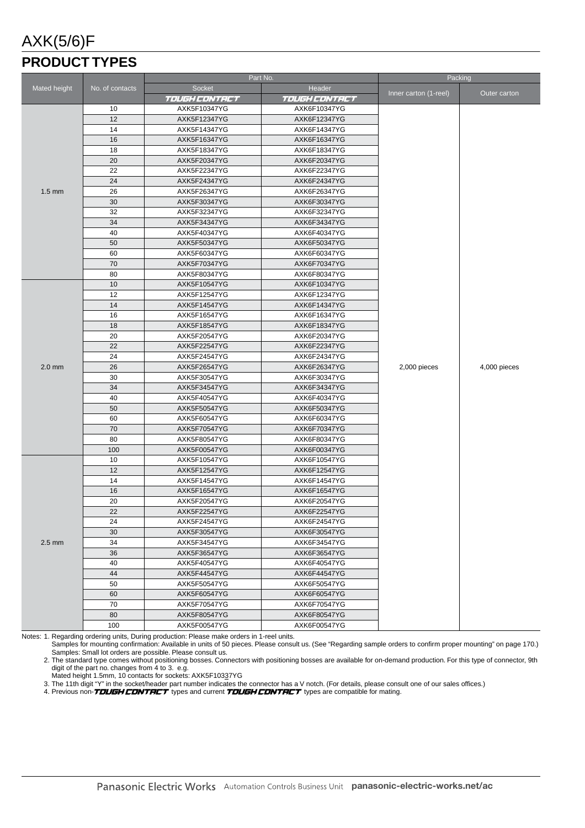# AXK(5/6)F

# **PRODUCT TYPES**

|                     |                 | Part No.                     |                      | Packing               |              |
|---------------------|-----------------|------------------------------|----------------------|-----------------------|--------------|
| <b>Mated height</b> | No. of contacts | <b>Socket</b>                |                      |                       |              |
|                     |                 | <i>TOUGH CONTRCT</i>         | <b>TOUGH CONTRCT</b> | Inner carton (1-reel) | Outer carton |
|                     | 10              | AXK5F10347YG                 | AXK6F10347YG         |                       |              |
|                     | 12              | AXK5F12347YG                 | AXK6F12347YG         |                       |              |
|                     | 14              | AXK5F14347YG                 | AXK6F14347YG         |                       |              |
|                     | 16              | AXK5F16347YG                 | AXK6F16347YG         |                       |              |
|                     | 18              | AXK5F18347YG                 | AXK6F18347YG         |                       |              |
|                     | 20              | AXK5F20347YG                 | AXK6F20347YG         |                       |              |
|                     | 22              | AXK5F22347YG                 | AXK6F22347YG         |                       |              |
|                     | 24              | AXK5F24347YG                 | AXK6F24347YG         |                       |              |
| $1.5 \text{ mm}$    | 26              | AXK5F26347YG                 | AXK6F26347YG         |                       |              |
|                     | 30              | AXK5F30347YG                 | AXK6F30347YG         |                       |              |
|                     | 32              | AXK5F32347YG                 | AXK6F32347YG         |                       |              |
|                     | 34              | AXK5F34347YG                 | AXK6F34347YG         |                       |              |
|                     | 40              | AXK5F40347YG                 | AXK6F40347YG         |                       |              |
|                     | 50              | AXK5F50347YG                 | AXK6F50347YG         |                       |              |
|                     | 60              | AXK5F60347YG                 | AXK6F60347YG         |                       |              |
|                     | 70              | AXK5F70347YG                 | AXK6F70347YG         |                       |              |
|                     | 80              | AXK5F80347YG                 | AXK6F80347YG         |                       |              |
|                     | 10              | AXK5F10547YG                 | AXK6F10347YG         |                       |              |
|                     | 12              | AXK5F12547YG                 | AXK6F12347YG         |                       |              |
|                     | 14              | AXK5F14547YG                 | AXK6F14347YG         |                       |              |
|                     | 16              | AXK5F16547YG                 | AXK6F16347YG         |                       |              |
|                     | 18              | AXK5F18547YG                 | AXK6F18347YG         |                       |              |
|                     | 20              | AXK5F20547YG                 | AXK6F20347YG         |                       |              |
|                     | 22              | AXK5F22547YG                 | AXK6F22347YG         |                       |              |
|                     | 24              | AXK5F24547YG                 | AXK6F24347YG         |                       |              |
| $2.0$ mm            | 26              | AXK5F26547YG                 | AXK6F26347YG         | 2,000 pieces          | 4,000 pieces |
|                     | 30              | AXK5F30547YG                 | AXK6F30347YG         |                       |              |
|                     | 34              | AXK5F34547YG                 | AXK6F34347YG         |                       |              |
|                     | 40              | AXK5F40547YG                 | AXK6F40347YG         |                       |              |
|                     | 50              | AXK5F50547YG                 | AXK6F50347YG         |                       |              |
|                     | 60              | AXK5F60547YG                 | AXK6F60347YG         |                       |              |
|                     | 70              | AXK5F70547YG                 | AXK6F70347YG         |                       |              |
|                     | 80              | AXK5F80547YG                 | AXK6F80347YG         |                       |              |
|                     | 100             | AXK5F00547YG                 | AXK6F00347YG         |                       |              |
|                     | 10              | AXK5F10547YG                 | AXK6F10547YG         |                       |              |
|                     | 12              | AXK5F12547YG                 | AXK6F12547YG         |                       |              |
|                     | 14              | AXK5F14547YG                 | AXK6F14547YG         |                       |              |
|                     | 16              | AXK5F16547YG                 | AXK6F16547YG         |                       |              |
|                     | 20              | AXK5F20547YG                 | AXK6F20547YG         |                       |              |
|                     | 22              | AXK5F22547YG                 | AXK6F22547YG         |                       |              |
|                     | 24              | AXK5F24547YG                 | AXK6F24547YG         |                       |              |
|                     | 30              | AXK5F30547YG                 | AXK6F30547YG         |                       |              |
| $2.5$ mm            | 34              | AXK5F34547YG                 | AXK6F34547YG         |                       |              |
|                     | 36              | AXK5F36547YG                 | AXK6F36547YG         |                       |              |
|                     | 40              | AXK5F40547YG                 | AXK6F40547YG         |                       |              |
|                     | 44              | AXK5F44547YG                 | AXK6F44547YG         |                       |              |
|                     | 50              | AXK5F50547YG                 | AXK6F50547YG         |                       |              |
|                     | 60<br>70        | AXK5F60547YG                 | AXK6F60547YG         |                       |              |
|                     | 80              | AXK5F70547YG                 | AXK6F70547YG         |                       |              |
|                     | 100             | AXK5F80547YG<br>AXK5F00547YG | AXK6F80547YG         |                       |              |
|                     |                 |                              | AXK6F00547YG         |                       |              |

Notes: 1. Regarding ordering units, During production: Please make orders in 1-reel units. Samples for mounting confirmation: Available in units of 50 pieces. Please consult us. (See "Regarding sample orders to confirm proper mounting" on page 170.) Samples: Small lot orders are possible. Please consult us.

2. The standard type comes without positioning bosses. Connectors with positioning bosses are available for on-demand production. For this type of connector, 9th digit of the part no. changes from 4 to 3. e.g.

Mated height 1.5mm, 10 contacts for sockets: AXK5F10337YG

3. The 11th digit "Y" in the socket/header part number indicates the connector has a V notch. (For details, please consult one of our sales offices.)

4. Previous non-*TDUGH CDNTRCT* types and current *TDUGH CDNTRCT* types are compatible for mating.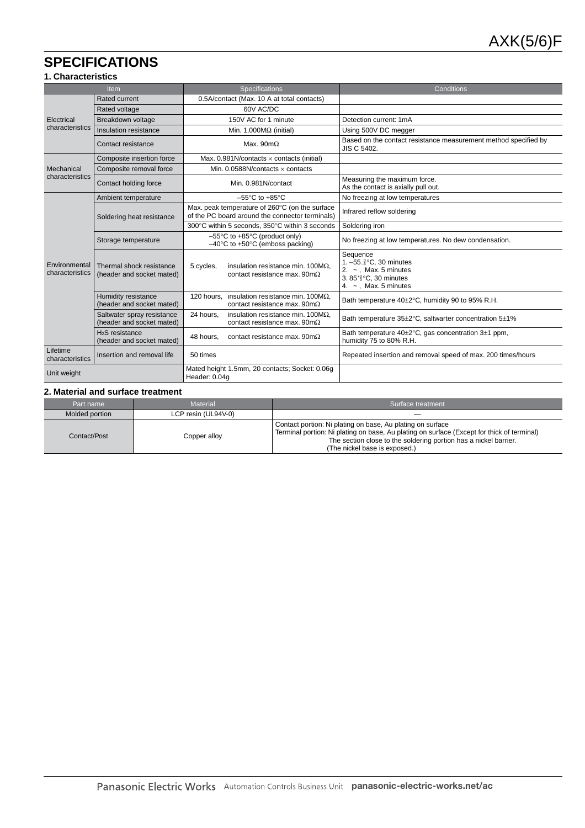# **SPECIFICATIONS**

## **1. Characteristics**

| <b>Item</b>                      |                                                          | <b>Specifications</b>                                                                                      | Conditions                                                                                                                                    |  |  |
|----------------------------------|----------------------------------------------------------|------------------------------------------------------------------------------------------------------------|-----------------------------------------------------------------------------------------------------------------------------------------------|--|--|
|                                  | <b>Rated current</b>                                     | 0.5A/contact (Max. 10 A at total contacts)                                                                 |                                                                                                                                               |  |  |
|                                  | Rated voltage                                            | 60V AC/DC                                                                                                  |                                                                                                                                               |  |  |
| Electrical                       | Breakdown voltage                                        | 150V AC for 1 minute                                                                                       | Detection current: 1mA                                                                                                                        |  |  |
| characteristics                  | Insulation resistance                                    | Min. 1,000 $M\Omega$ (initial)                                                                             | Using 500V DC megger                                                                                                                          |  |  |
|                                  | Contact resistance                                       | Max. 90 $m\Omega$                                                                                          | Based on the contact resistance measurement method specified by<br>JIS C 5402.                                                                |  |  |
|                                  | Composite insertion force                                | Max. 0.981N/contacts $\times$ contacts (initial)                                                           |                                                                                                                                               |  |  |
| Mechanical                       | Composite removal force                                  | Min. 0.0588N/contacts $\times$ contacts                                                                    |                                                                                                                                               |  |  |
| characteristics                  | Contact holding force                                    | Min. 0.981N/contact                                                                                        | Measuring the maximum force.<br>As the contact is axially pull out.                                                                           |  |  |
|                                  | Ambient temperature                                      | $-55^{\circ}$ C to $+85^{\circ}$ C                                                                         | No freezing at low temperatures                                                                                                               |  |  |
| Soldering heat resistance        |                                                          | Max. peak temperature of 260°C (on the surface<br>of the PC board around the connector terminals)          | Infrared reflow soldering                                                                                                                     |  |  |
|                                  |                                                          | 300°C within 5 seconds, 350°C within 3 seconds                                                             | Soldering iron                                                                                                                                |  |  |
|                                  | Storage temperature                                      | $-55^{\circ}$ C to +85 $^{\circ}$ C (product only)<br>$-40^{\circ}$ C to +50 $^{\circ}$ C (emboss packing) | No freezing at low temperatures. No dew condensation.                                                                                         |  |  |
| Environmental<br>characteristics | Thermal shock resistance<br>(header and socket mated)    | insulation resistance min. $100M\Omega$ ,<br>5 cycles,<br>contact resistance max. $90 \text{m}\Omega$      | Sequence<br>1. $-55\frac{0}{3}$ °C, 30 minutes<br>2. $\sim$ , Max. 5 minutes<br>3. $85^{+3}_{0}$ °C, 30 minutes<br>4. $\sim$ , Max. 5 minutes |  |  |
|                                  | Humidity resistance<br>(header and socket mated)         | insulation resistance min. 100 $M\Omega$ .<br>120 hours.<br>contact resistance max. $90 \text{m}\Omega$    | Bath temperature 40±2°C, humidity 90 to 95% R.H.                                                                                              |  |  |
|                                  | Saltwater spray resistance<br>(header and socket mated)  | insulation resistance min. 100 $M\Omega$ .<br>24 hours,<br>contact resistance max. 90m $\Omega$            | Bath temperature 35±2°C, saltwarter concentration 5±1%                                                                                        |  |  |
|                                  | H <sub>2</sub> S resistance<br>(header and socket mated) | contact resistance max. 90m $\Omega$<br>48 hours.                                                          | Bath temperature 40±2°C, gas concentration 3±1 ppm,<br>humidity 75 to 80% R.H.                                                                |  |  |
| Lifetime<br>characteristics      | Insertion and removal life                               | 50 times                                                                                                   | Repeated insertion and removal speed of max. 200 times/hours                                                                                  |  |  |
| Unit weight                      |                                                          | Mated height 1.5mm, 20 contacts; Socket: 0.06g<br>Header: 0.04g                                            |                                                                                                                                               |  |  |

#### **2. Material and surface treatment**

| Part name      | Material            | Surface treatment                                                                                                                                                                                                                                             |
|----------------|---------------------|---------------------------------------------------------------------------------------------------------------------------------------------------------------------------------------------------------------------------------------------------------------|
| Molded portion | LCP resin (UL94V-0) |                                                                                                                                                                                                                                                               |
| Contact/Post   | Copper alloy        | Contact portion: Ni plating on base, Au plating on surface<br>Terminal portion: Ni plating on base, Au plating on surface (Except for thick of terminal)<br>The section close to the soldering portion has a nickel barrier.<br>(The nickel base is exposed.) |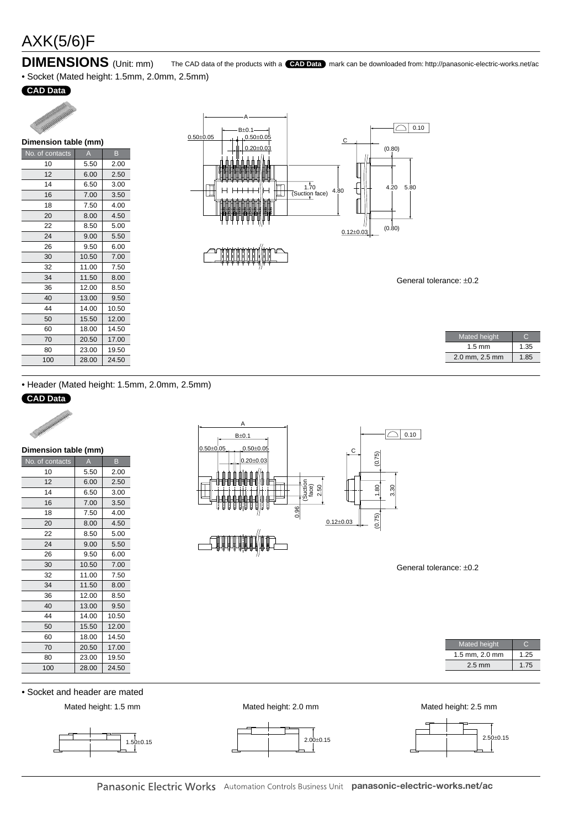# AXK(5/6)F

## **DIMENSIONS** (Unit: mm)

• Socket (Mated height: 1.5mm, 2.0mm, 2.5mm)

## **CAD Data**



| Dimension table (mm) |       |       |  |  |  |  |
|----------------------|-------|-------|--|--|--|--|
| No. of contacts      | A     | B     |  |  |  |  |
| 10                   | 5.50  | 2.00  |  |  |  |  |
| 12                   | 6.00  | 2.50  |  |  |  |  |
| 14                   | 6.50  | 3.00  |  |  |  |  |
| 16                   | 7.00  | 3.50  |  |  |  |  |
| 18                   | 7.50  | 4.00  |  |  |  |  |
| 20                   | 8.00  | 4.50  |  |  |  |  |
| 22                   | 8.50  | 5.00  |  |  |  |  |
| 24                   | 9.00  | 5.50  |  |  |  |  |
| 26                   | 9.50  | 6.00  |  |  |  |  |
| 30                   | 10.50 | 7.00  |  |  |  |  |
| 32                   | 11.00 | 7.50  |  |  |  |  |
| 34                   | 11.50 | 8.00  |  |  |  |  |
| 36                   | 12.00 | 8.50  |  |  |  |  |
| 40                   | 13.00 | 9.50  |  |  |  |  |
| 44                   | 14.00 | 10.50 |  |  |  |  |
| 50                   | 15.50 | 12.00 |  |  |  |  |
| 60                   | 18.00 | 14.50 |  |  |  |  |
| 70                   | 20.50 | 17.00 |  |  |  |  |
| 80                   | 23.00 | 19.50 |  |  |  |  |
| 100                  | 28.00 | 24.50 |  |  |  |  |



The CAD data of the products with a **CAD Data** mark can be downloaded from: http://panasonic-electric-works.net/ac

General tolerance: ±0.2

| 1.35 |
|------|
| 1.85 |
|      |

• Header (Mated height: 1.5mm, 2.0mm, 2.5mm)

## **CAD Data**

| Weiter Hallmarken |  |
|-------------------|--|
|                   |  |

| Dimension table (mm) |       |       |  |  |  |  |
|----------------------|-------|-------|--|--|--|--|
| No. of contacts      | A     | B     |  |  |  |  |
| 10                   | 5.50  | 2.00  |  |  |  |  |
| 12                   | 6.00  | 2.50  |  |  |  |  |
| 14                   | 6.50  | 3.00  |  |  |  |  |
| 16                   | 7.00  | 3.50  |  |  |  |  |
| 18                   | 7.50  | 4.00  |  |  |  |  |
| 20                   | 8.00  | 4.50  |  |  |  |  |
| 22                   | 8.50  | 5.00  |  |  |  |  |
| 24                   | 9.00  | 5.50  |  |  |  |  |
| 26                   | 9.50  | 6.00  |  |  |  |  |
| 30                   | 10.50 | 7.00  |  |  |  |  |
| 32                   | 11.00 | 7.50  |  |  |  |  |
| 34                   | 11.50 | 8.00  |  |  |  |  |
| 36                   | 12.00 | 8.50  |  |  |  |  |
| 40                   | 13.00 | 9.50  |  |  |  |  |
| 44                   | 14.00 | 10.50 |  |  |  |  |
| 50                   | 15.50 | 12.00 |  |  |  |  |
| 60                   | 18.00 | 14.50 |  |  |  |  |
| 70                   | 20.50 | 17.00 |  |  |  |  |
| 80                   | 23.00 | 19.50 |  |  |  |  |
| 100                  | 28.00 | 24.50 |  |  |  |  |



General tolerance: ±0.2

| <b>Mated height</b> |      |
|---------------------|------|
| 1.5 mm, 2.0 mm      | 1.25 |
| $2.5 \text{ mm}$    | 1.75 |

• Socket and header are mated

Mated height: 1.5 mm Mated height: 2.0 mm Mated height: 2.5 mm









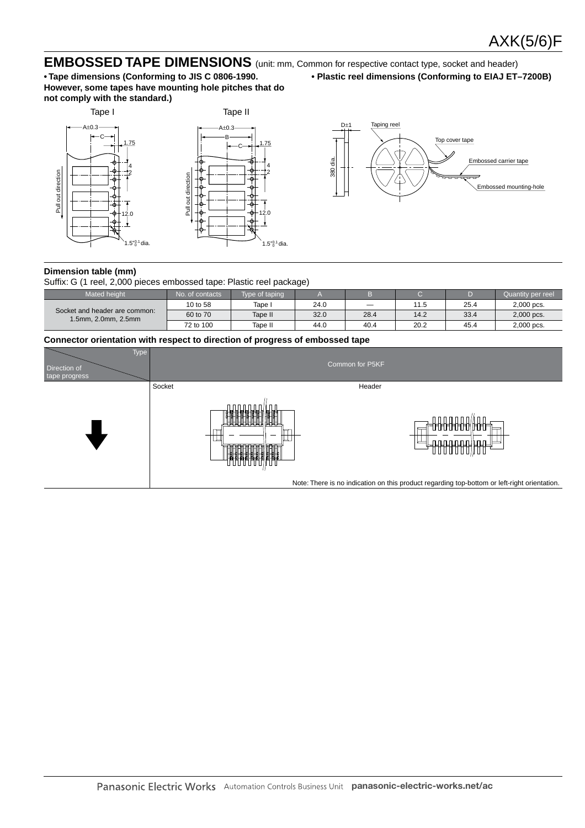## **EMBOSSED TAPE DIMENSIONS** (unit: mm, Common for respective contact type, socket and header)

**• Tape dimensions (Conforming to JIS C 0806-1990. However, some tapes have mounting hole pitches that do not comply with the standard.)**



**• Plastic reel dimensions (Conforming to EIAJ ET–7200B)**



#### **Dimension table (mm)**

Suffix: G (1 reel, 2,000 pieces embossed tape: Plastic reel package)

| Mated height                                         | No. of contacts. | Type of taping |      |                          |      |      | Quantity per reel |
|------------------------------------------------------|------------------|----------------|------|--------------------------|------|------|-------------------|
|                                                      | 10 to 58         | Tape i         | 24.0 | $\overline{\phantom{a}}$ | 11.5 | 25.4 | 2,000 pcs.        |
| Socket and header are common:<br>1.5mm. 2.0mm. 2.5mm | 60 to 70         | Tape II        | 32.0 | 28.4                     | 14.2 | 33.4 | 2,000 pcs.        |
|                                                      | 72 to 100        | Tape II        | 44.0 | 40.4                     | 20.2 | 45.4 | 2,000 pcs.        |

#### **Connector orientation with respect to direction of progress of embossed tape**

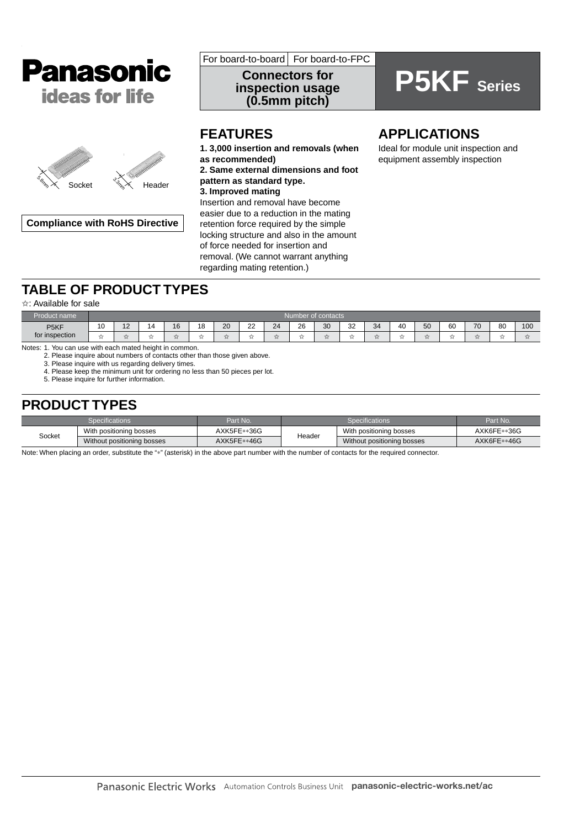



**Compliance with RoHS Directive**

For board-to-board For board-to-FPC

**Connectors for inspection usage (0.5mm pitch)**

# **P5KF Series**

# **FEATURES**

**1. 3,000 insertion and removals (when as recommended) 2. Same external dimensions and foot pattern as standard type. 3. Improved mating** Insertion and removal have become easier due to a reduction in the mating retention force required by the simple locking structure and also in the amount of force needed for insertion and removal. (We cannot warrant anything regarding mating retention.)

# **APPLICATIONS**

Ideal for module unit inspection and equipment assembly inspection

# **TABLE OF PRODUCT TYPES**

#### ✩: Available for sale

| Product name      |        | <b>Num</b><br>nber of contacts |          |    |    |    |              |                |                               |    |              |                |    |    |        |      |    |     |
|-------------------|--------|--------------------------------|----------|----|----|----|--------------|----------------|-------------------------------|----|--------------|----------------|----|----|--------|------|----|-----|
| P <sub>5</sub> KF | 1Ο     | $\sim$                         | $\Delta$ | 16 | 18 | 20 | $\sim$<br>∠∠ | 24             | 26<br>$\sim$                  | 30 | $\sim$<br>32 | 34             | 40 | 50 | 60     | 70   | 80 | 100 |
| for inspection    | $\sim$ |                                | $-$<br>и | 喜  | -- |    | --<br>$\sim$ | $-1$<br>$\sim$ | $\overline{\phantom{a}}$<br>м |    | ╌<br>м       | $-1$<br>$\sim$ |    |    | $\sim$ | $-1$ |    |     |

Notes: 1. You can use with each mated height in common.

2. Please inquire about numbers of contacts other than those given above.

3. Please inquire with us regarding delivery times.

4. Please keep the minimum unit for ordering no less than 50 pieces per lot. 5. Please inquire for further information.

# **PRODUCT TYPES**

|        | Specifications'            | Part No.    |        | Part No.                   |             |
|--------|----------------------------|-------------|--------|----------------------------|-------------|
|        | With positioning bosses    | AXK5FE**36G | Header | With positioning bosses    | AXK6FE**36G |
| Socket | Without positioning bosses | AXK5FE**46G |        | Without positioning bosses | AXK6FE**46G |

Note: When placing an order, substitute the "\*" (asterisk) in the above part number with the number of contacts for the required connector.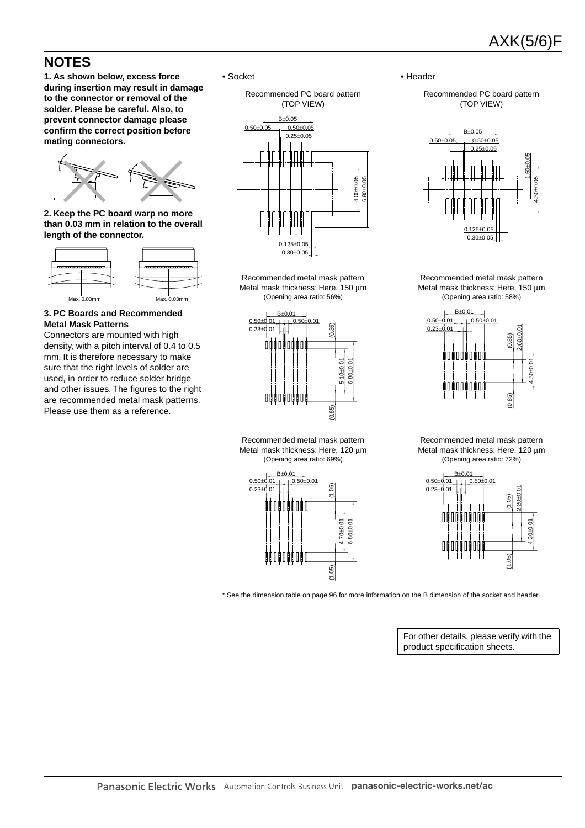# **NOTES**

**1. As shown below, excess force during insertion may result in damage to the connector or removal of the solder. Please be careful. Also, to prevent connector damage please confirm the correct position before mating connectors.**



**2. Keep the PC board warp no more than 0.03 mm in relation to the overall length of the connector.**



## **3. PC Boards and Recommended Metal Mask Patterns**

Connectors are mounted with high density, with a pitch interval of 0.4 to 0.5 mm. It is therefore necessary to make sure that the right levels of solder are used, in order to reduce solder bridge and other issues. The figures to the right are recommended metal mask patterns. Please use them as a reference.

• Socket

Recommended PC board pattern (TOP VIEW)



Recommended metal mask pattern Metal mask thickness: Here, 150 µm (Opening area ratio: 56%)



Recommended metal mask pattern Metal mask thickness: Here, 120  $\mu$ m (Opening area ratio: 69%)



• Header

Recommended PC board pattern (TOP VIEW)



Recommended metal mask pattern Metal mask thickness: Here, 150 µm (Opening area ratio: 58%)



Recommended metal mask pattern Metal mask thickness: Here, 120 um (Opening area ratio: 72%)



\* See the dimension table on page 96 for more information on the B dimension of the socket and header.

For other details, please verify with the product specification sheets.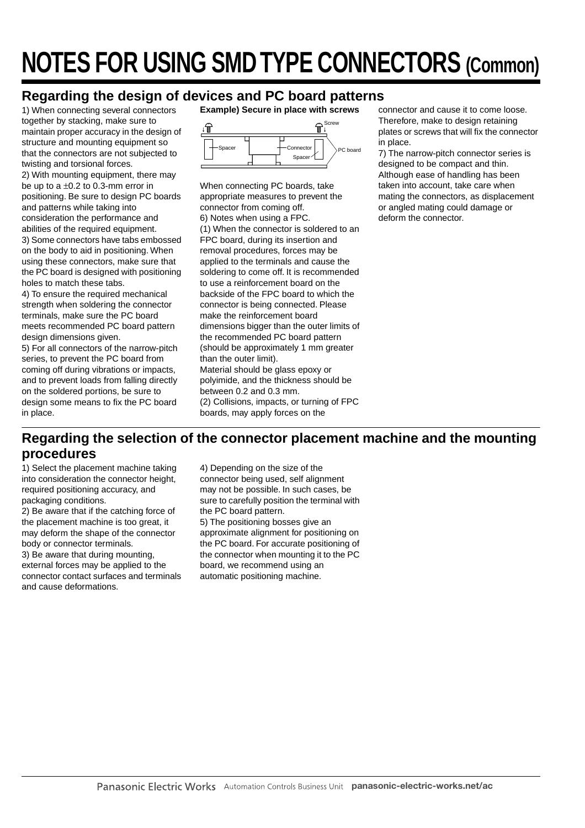# **NOTES FOR USING SMD TYPE CONNECTORS (Common)**

# **Regarding the design of devices and PC board patterns**

1) When connecting several connectors together by stacking, make sure to maintain proper accuracy in the design of structure and mounting equipment so that the connectors are not subjected to twisting and torsional forces.

2) With mounting equipment, there may be up to a  $\pm 0.2$  to 0.3-mm error in positioning. Be sure to design PC boards and patterns while taking into consideration the performance and abilities of the required equipment. 3) Some connectors have tabs embossed on the body to aid in positioning. When using these connectors, make sure that the PC board is designed with positioning holes to match these tabs.

4) To ensure the required mechanical strength when soldering the connector terminals, make sure the PC board meets recommended PC board pattern design dimensions given.

5) For all connectors of the narrow-pitch series, to prevent the PC board from coming off during vibrations or impacts, and to prevent loads from falling directly on the soldered portions, be sure to design some means to fix the PC board in place.

**Example) Secure in place with screws**



When connecting PC boards, take appropriate measures to prevent the connector from coming off. 6) Notes when using a FPC. (1) When the connector is soldered to an FPC board, during its insertion and removal procedures, forces may be applied to the terminals and cause the soldering to come off. It is recommended to use a reinforcement board on the backside of the FPC board to which the connector is being connected. Please make the reinforcement board dimensions bigger than the outer limits of the recommended PC board pattern (should be approximately 1 mm greater than the outer limit). Material should be glass epoxy or polyimide, and the thickness should be between 0.2 and 0.3 mm. (2) Collisions, impacts, or turning of FPC boards, may apply forces on the

connector and cause it to come loose. Therefore, make to design retaining plates or screws that will fix the connector in place.

7) The narrow-pitch connector series is designed to be compact and thin. Although ease of handling has been taken into account, take care when mating the connectors, as displacement or angled mating could damage or deform the connector.

# **Regarding the selection of the connector placement machine and the mounting procedures**

1) Select the placement machine taking into consideration the connector height, required positioning accuracy, and packaging conditions.

2) Be aware that if the catching force of the placement machine is too great, it may deform the shape of the connector body or connector terminals.

3) Be aware that during mounting, external forces may be applied to the connector contact surfaces and terminals and cause deformations.

4) Depending on the size of the connector being used, self alignment may not be possible. In such cases, be sure to carefully position the terminal with the PC board pattern. 5) The positioning bosses give an approximate alignment for positioning on the PC board. For accurate positioning of the connector when mounting it to the PC board, we recommend using an automatic positioning machine.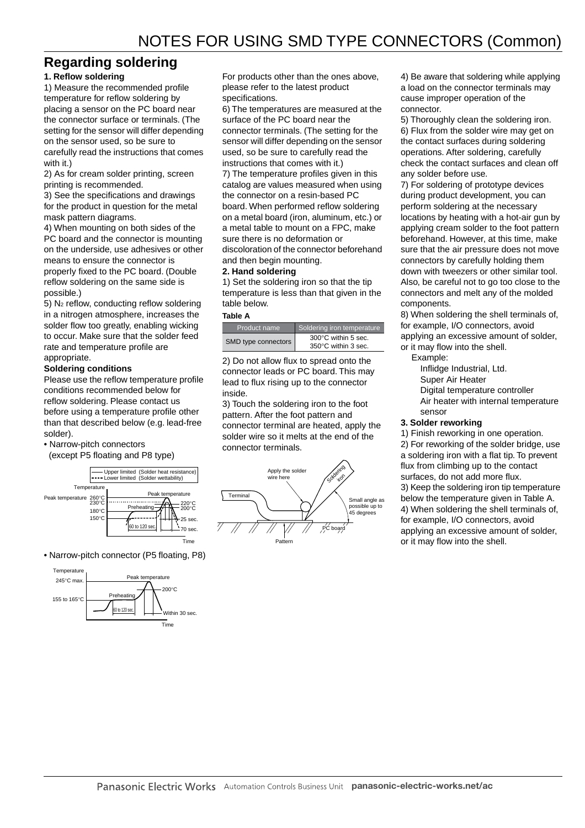## **Regarding soldering**

## **1. Reflow soldering**

1) Measure the recommended profile temperature for reflow soldering by placing a sensor on the PC board near the connector surface or terminals. (The setting for the sensor will differ depending on the sensor used, so be sure to carefully read the instructions that comes with it.)

2) As for cream solder printing, screen printing is recommended.

3) See the specifications and drawings for the product in question for the metal mask pattern diagrams.

4) When mounting on both sides of the PC board and the connector is mounting on the underside, use adhesives or other means to ensure the connector is properly fixed to the PC board. (Double reflow soldering on the same side is possible.)

5) N2 reflow, conducting reflow soldering in a nitrogen atmosphere, increases the solder flow too greatly, enabling wicking to occur. Make sure that the solder feed rate and temperature profile are appropriate.

### **Soldering conditions**

Please use the reflow temperature profile conditions recommended below for reflow soldering. Please contact us before using a temperature profile other than that described below (e.g. lead-free solder).

- Narrow-pitch connectors
- (except P5 floating and P8 type)



• Narrow-pitch connector (P5 floating, P8)



For products other than the ones above, please refer to the latest product specifications.

6) The temperatures are measured at the surface of the PC board near the connector terminals. (The setting for the sensor will differ depending on the sensor used, so be sure to carefully read the instructions that comes with it.)

7) The temperature profiles given in this catalog are values measured when using the connector on a resin-based PC board. When performed reflow soldering on a metal board (iron, aluminum, etc.) or a metal table to mount on a FPC, make sure there is no deformation or discoloration of the connector beforehand

and then begin mounting.

#### **2. Hand soldering**

1) Set the soldering iron so that the tip temperature is less than that given in the table below.

#### **Table A**

| Product name        | Soldering iron temperature                 |
|---------------------|--------------------------------------------|
| SMD type connectors | 300°C within 5 sec.<br>350°C within 3 sec. |

2) Do not allow flux to spread onto the connector leads or PC board. This may lead to flux rising up to the connector inside.

3) Touch the soldering iron to the foot pattern. After the foot pattern and connector terminal are heated, apply the solder wire so it melts at the end of the connector terminals.



4) Be aware that soldering while applying a load on the connector terminals may cause improper operation of the connector.

5) Thoroughly clean the soldering iron. 6) Flux from the solder wire may get on the contact surfaces during soldering operations. After soldering, carefully check the contact surfaces and clean off any solder before use.

7) For soldering of prototype devices during product development, you can perform soldering at the necessary locations by heating with a hot-air gun by applying cream solder to the foot pattern beforehand. However, at this time, make sure that the air pressure does not move connectors by carefully holding them down with tweezers or other similar tool. Also, be careful not to go too close to the connectors and melt any of the molded components.

8) When soldering the shell terminals of, for example, I/O connectors, avoid applying an excessive amount of solder, or it may flow into the shell.

- Example:
	- Inflidge Industrial, Ltd.
	- Super Air Heater
	- Digital temperature controller
	- Air heater with internal temperature sensor

#### **3. Solder reworking**

1) Finish reworking in one operation. 2) For reworking of the solder bridge, use a soldering iron with a flat tip. To prevent

flux from climbing up to the contact surfaces, do not add more flux.

3) Keep the soldering iron tip temperature below the temperature given in Table A. 4) When soldering the shell terminals of, for example, I/O connectors, avoid applying an excessive amount of solder, or it may flow into the shell.